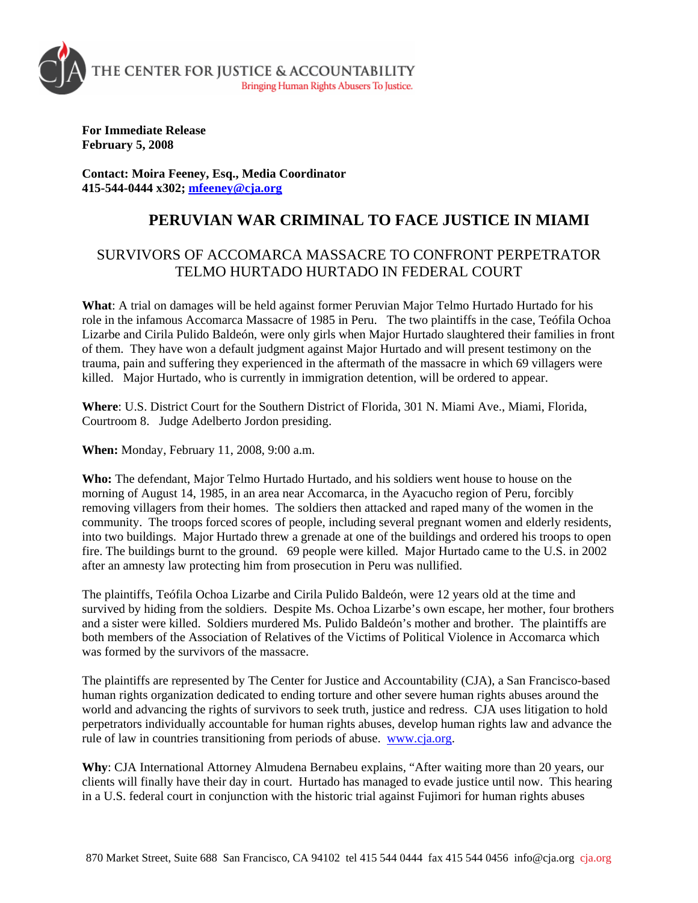

**For Immediate Release February 5, 2008** 

**Contact: Moira Feeney, Esq., Media Coordinator 415-544-0444 x302; [mfeeney@cja.org](mailto:mfeeney@cja.org)**

## **PERUVIAN WAR CRIMINAL TO FACE JUSTICE IN MIAMI**

## SURVIVORS OF ACCOMARCA MASSACRE TO CONFRONT PERPETRATOR TELMO HURTADO HURTADO IN FEDERAL COURT

**What**: A trial on damages will be held against former Peruvian Major Telmo Hurtado Hurtado for his role in the infamous Accomarca Massacre of 1985 in Peru. The two plaintiffs in the case, Teófila Ochoa Lizarbe and Cirila Pulido Baldeón, were only girls when Major Hurtado slaughtered their families in front of them. They have won a default judgment against Major Hurtado and will present testimony on the trauma, pain and suffering they experienced in the aftermath of the massacre in which 69 villagers were killed. Major Hurtado, who is currently in immigration detention, will be ordered to appear.

**Where**: U.S. District Court for the Southern District of Florida, 301 N. Miami Ave., Miami, Florida, Courtroom 8. Judge Adelberto Jordon presiding.

**When:** Monday, February 11, 2008, 9:00 a.m.

**Who:** The defendant, Major Telmo Hurtado Hurtado, and his soldiers went house to house on the morning of August 14, 1985, in an area near Accomarca, in the Ayacucho region of Peru, forcibly removing villagers from their homes. The soldiers then attacked and raped many of the women in the community. The troops forced scores of people, including several pregnant women and elderly residents, into two buildings. Major Hurtado threw a grenade at one of the buildings and ordered his troops to open fire. The buildings burnt to the ground. 69 people were killed. Major Hurtado came to the U.S. in 2002 after an amnesty law protecting him from prosecution in Peru was nullified.

The plaintiffs, Teófila Ochoa Lizarbe and Cirila Pulido Baldeón, were 12 years old at the time and survived by hiding from the soldiers. Despite Ms. Ochoa Lizarbe's own escape, her mother, four brothers and a sister were killed. Soldiers murdered Ms. Pulido Baldeón's mother and brother. The plaintiffs are both members of the Association of Relatives of the Victims of Political Violence in Accomarca which was formed by the survivors of the massacre.

The plaintiffs are represented by The Center for Justice and Accountability (CJA), a San Francisco-based human rights organization dedicated to ending torture and other severe human rights abuses around the world and advancing the rights of survivors to seek truth, justice and redress. CJA uses litigation to hold perpetrators individually accountable for human rights abuses, develop human rights law and advance the rule of law in countries transitioning from periods of abuse. [www.cja.org](http://www.cja.org/).

**Why**: CJA International Attorney Almudena Bernabeu explains, "After waiting more than 20 years, our clients will finally have their day in court. Hurtado has managed to evade justice until now. This hearing in a U.S. federal court in conjunction with the historic trial against Fujimori for human rights abuses